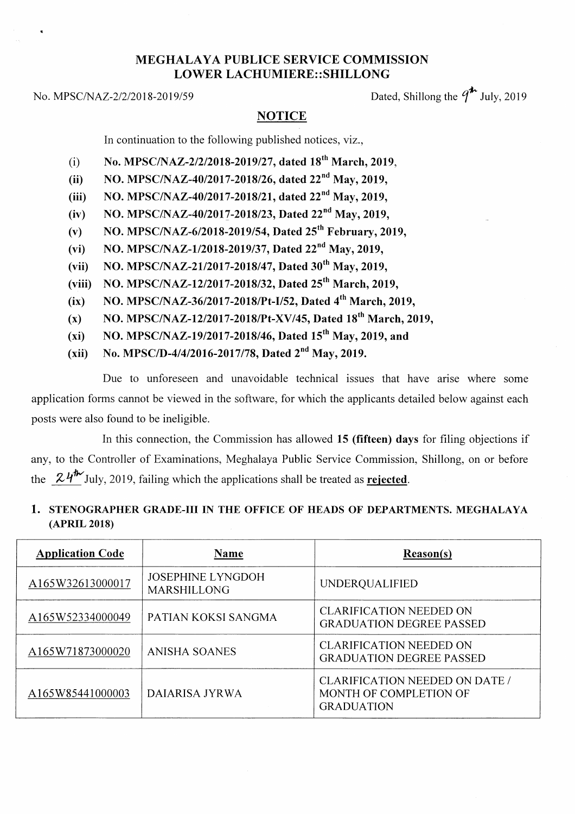## MEGHALA YA PUBLICE SERVICE COMMISSION LOWER LACHUMIERE::SHILLONG

#### No. MPSC/NAZ-2/2/2018-2019/59

Dated, Shillong the  $q^{\#}$  July, 2019

### **NOTICE**

In continuation to the following published notices, viz.,

- (i) No. MPSC/NAZ-2/2/2018-2019/27, dated  $18<sup>th</sup> March, 2019$ ,
- (ii) NO. MPSC/NAZ-40/2017-2018/26, dated 22"d May, 2019,
- (iii) NO. MPSC/NAZ-40/2017-2018/21, dated 22"d May, 2019,
- (iv) NO. MPSC/NAZ-40/2017-2018/23, Dated 22"d May, 2019,
- (v) NO. MPSC/NAZ-6/2018-2019/54, Dated  $25^{th}$  February, 2019,
- (vi) NO. MPSC/NAZ-1/2018-2019/37, Dated 22"d May, 2019,
- (vii) NO. MPSC/NAZ-21/2017-2018/47, Dated 30<sup>th</sup> May, 2019,
- (viii) NO. MPSC/NAZ-12/2017-2018/32, Dated 25<sup>th</sup> March, 2019,
- (ix) NO. MPSC/NAZ-36/2017-2018/Pt-I/52, Dated  $4<sup>th</sup>$  March, 2019,
- (x) NO. MPSC/NAZ-12/2017-2018/Pt-XV/45, Dated  $18<sup>th</sup>$  March, 2019,
- (xi) NO. MPSC/NAZ-19/2017-2018/46, Dated  $15^{th}$  May, 2019, and
- (xii) No. MPSC/D-4/4/2016-2017/78, Dated 2"d May, 2019.

Due to unforeseen and unavoidable technical issues that have arise where some application forms cannot be viewed in the software, for which the applicants detailed below against each posts were also found to be ineligible.

In this connection, the Commission has allowed 15 (fifteen) days for filing objections if any, to the Controller of Examinations, Meghalaya Public Service Commission, Shillong, on or before the  $\mathcal{Z}4^{th}$  July, 2019, failing which the applications shall be treated as **rejected**.

# 1. STENOGRAPHER GRADE-III IN THE OFFICE OF HEADS OF DEPARTMENTS. MEGHALAYA (APRIL 2018)

| <b>Application Code</b> | Name                                           | <b>Reason(s)</b>                                                                     |
|-------------------------|------------------------------------------------|--------------------------------------------------------------------------------------|
| A165W32613000017        | <b>JOSEPHINE LYNGDOH</b><br><b>MARSHILLONG</b> | UNDERQUALIFIED                                                                       |
| A165W52334000049        | PATIAN KOKSI SANGMA                            | <b>CLARIFICATION NEEDED ON</b><br><b>GRADUATION DEGREE PASSED</b>                    |
| A165W71873000020        | <b>ANISHA SOANES</b>                           | <b>CLARIFICATION NEEDED ON</b><br><b>GRADUATION DEGREE PASSED</b>                    |
| A165W85441000003        | DAIARISA JYRWA                                 | <b>CLARIFICATION NEEDED ON DATE /</b><br>MONTH OF COMPLETION OF<br><b>GRADUATION</b> |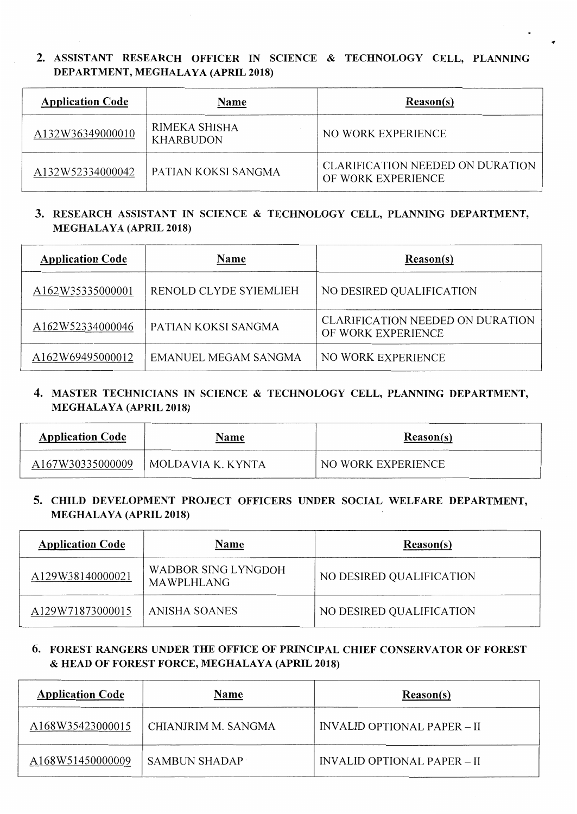### 2. ASSISTANT RESEARCH OFFICER IN SCIENCE & TECHNOLOGY CELL, PLANNING DEPARTMENT, MEGHALAYA (APRIL 2018)

| <b>Application Code</b> | Name                              | Reason(s)                                              |
|-------------------------|-----------------------------------|--------------------------------------------------------|
| A132W36349000010        | RIMEKA SHISHA<br><b>KHARBUDON</b> | NO WORK EXPERIENCE                                     |
| A132W52334000042        | PATIAN KOKSI SANGMA               | CLARIFICATION NEEDED ON DURATION<br>OF WORK EXPERIENCE |

## 3. RESEARCH ASSISTANT IN SCIENCE & TECHNOLOGY CELL, PLANNING DEPARTMENT, MEGHALAYA (APRIL 2018)

| <b>Application Code</b> | Name                        | Reason(s)                                              |
|-------------------------|-----------------------------|--------------------------------------------------------|
| A162W35335000001        | RENOLD CLYDE SYIEMLIEH      | NO DESIRED QUALIFICATION                               |
| A162W52334000046        | PATIAN KOKSI SANGMA         | CLARIFICATION NEEDED ON DURATION<br>OF WORK EXPERIENCE |
| A162W69495000012        | <b>EMANUEL MEGAM SANGMA</b> | NO WORK EXPERIENCE                                     |

### 4. MASTER TECHNICIANS IN SCIENCE & TECHNOLOGY CELL, PLANNING DEPARTMENT, MEGHALAYA (APRIL 2018)

| <b>Application Code</b> | Name              | Reason(s)          |
|-------------------------|-------------------|--------------------|
| A167W30335000009        | MOLDAVIA K. KYNTA | NO WORK EXPERIENCE |

### 5. CHILD DEVELOPMENT PROJECT OFFICERS UNDER SOCIAL WELFARE DEPARTMENT, MEGHALAYA (APRIL 2018)

| <b>Application Code</b> | Name                              | Reason(s)                |
|-------------------------|-----------------------------------|--------------------------|
| A129W38140000021        | WADBOR SING LYNGDOH<br>MAWPLHLANG | NO DESIRED QUALIFICATION |
| A129W71873000015        | ANISHA SOANES                     | NO DESIRED QUALIFICATION |

### 6. FOREST RANGERS UNDER THE OFFICE OF PRINCIPAL CHIEF CONSERVATOR OF FOREST & HEAD OF FOREST FORCE, MEGHALA YA (APRIL 2018)

| <b>Application Code</b> | <b>Name</b>         | Reason(s)                   |
|-------------------------|---------------------|-----------------------------|
| A168W35423000015        | CHIANJRIM M. SANGMA | INVALID OPTIONAL PAPER – II |
| A168W51450000009        | SAMBUN SHADAP       | INVALID OPTIONAL PAPER – II |